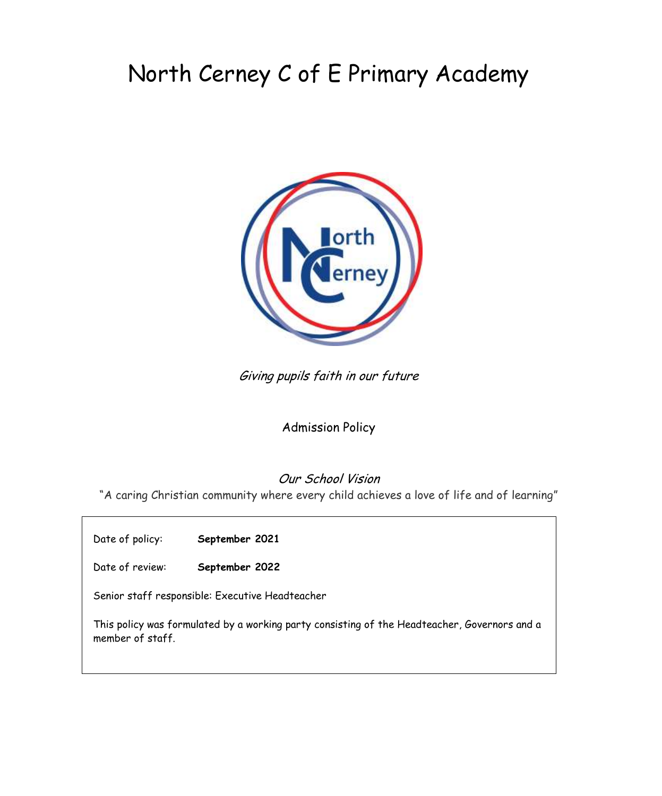# North Cerney C of E Primary Academy



Giving pupils faith in our future

## Admission Policy

## Our School Vision

"A caring Christian community where every child achieves a love of life and of learning"

Date of policy: **September 2021**

Date of review: **September 2022**

Senior staff responsible: Executive Headteacher

This policy was formulated by a working party consisting of the Headteacher, Governors and a member of staff.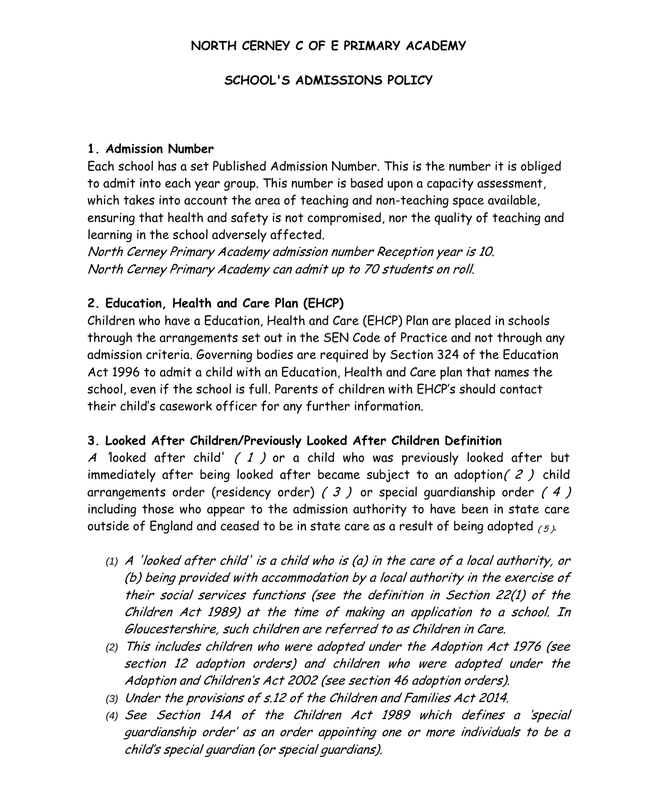## **NORTH CERNEY C OF E PRIMARY ACADEMY**

#### **SCHOOL'S ADMISSIONS POLICY**

#### **1. Admission Number**

Each school has a set Published Admission Number. This is the number it is obliged to admit into each year group. This number is based upon a capacity assessment, which takes into account the area of teaching and non-teaching space available, ensuring that health and safety is not compromised, nor the quality of teaching and learning in the school adversely affected.

North Cerney Primary Academy admission number Reception year is 10. North Cerney Primary Academy can admit up to 70 students on roll.

## **2. Education, Health and Care Plan (EHCP)**

Children who have a Education, Health and Care (EHCP) Plan are placed in schools through the arrangements set out in the SEN Code of Practice and not through any admission criteria. Governing bodies are required by Section 324 of the Education Act 1996 to admit a child with an Education, Health and Care plan that names the school, even if the school is full. Parents of children with EHCP's should contact their child's casework officer for any further information.

## **3. Looked After Children/Previously Looked After Children Definition**

A 'looked after child' (1) or a child who was previously looked after but immediately after being looked after became subject to an adoption( 2 ) child arrangements order (residency order)  $(3)$  or special quardianship order  $(4)$ including those who appear to the admission authority to have been in state care outside of England and ceased to be in state care as a result of being adopted  $_{(\mathit{5})}$ .

- *(1)* <sup>A</sup>'looked after child' is a child who is (a) in the care of a local authority, or (b) being provided with accommodation by a local authority in the exercise of their social services functions (see the definition in Section 22(1) of the Children Act 1989) at the time of making an application to a school. In Gloucestershire, such children are referred to as Children in Care.
- *(2)* This includes children who were adopted under the Adoption Act 1976 (see section 12 adoption orders) and children who were adopted under the Adoption and Children's Act 2002 (see section 46 adoption orders).
- *(3)* Under the provisions of s.12 of the Children and Families Act 2014.
- *(4)* See Section 14A of the Children Act 1989 which defines a 'special guardianship order' as an order appointing one or more individuals to be a child's special guardian (or special guardians).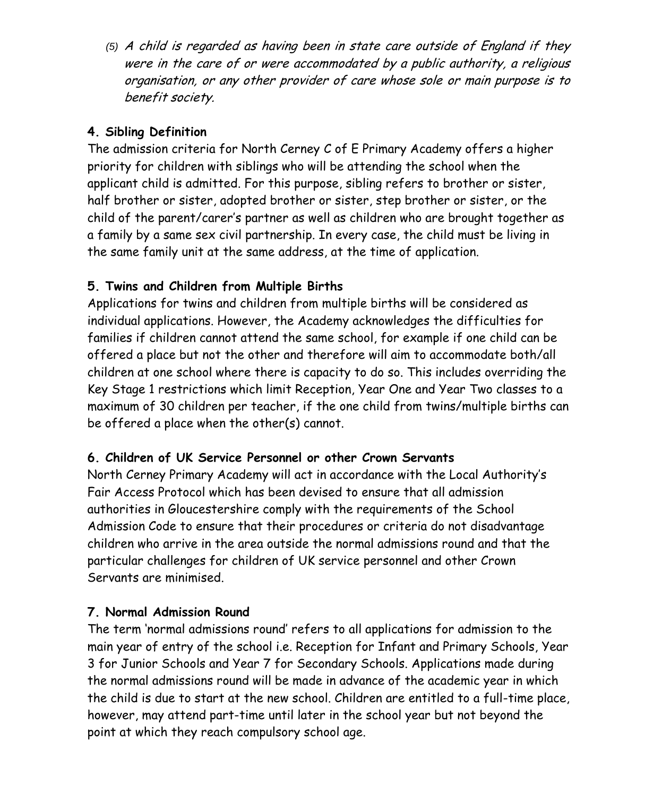*(5)* A child is regarded as having been in state care outside of England if they were in the care of or were accommodated by a public authority, a religious organisation, or any other provider of care whose sole or main purpose is to benefit society.

## **4. Sibling Definition**

The admission criteria for North Cerney C of E Primary Academy offers a higher priority for children with siblings who will be attending the school when the applicant child is admitted. For this purpose, sibling refers to brother or sister, half brother or sister, adopted brother or sister, step brother or sister, or the child of the parent/carer's partner as well as children who are brought together as a family by a same sex civil partnership. In every case, the child must be living in the same family unit at the same address, at the time of application.

## **5. Twins and Children from Multiple Births**

Applications for twins and children from multiple births will be considered as individual applications. However, the Academy acknowledges the difficulties for families if children cannot attend the same school, for example if one child can be offered a place but not the other and therefore will aim to accommodate both/all children at one school where there is capacity to do so. This includes overriding the Key Stage 1 restrictions which limit Reception, Year One and Year Two classes to a maximum of 30 children per teacher, if the one child from twins/multiple births can be offered a place when the other(s) cannot.

## **6. Children of UK Service Personnel or other Crown Servants**

North Cerney Primary Academy will act in accordance with the Local Authority's Fair Access Protocol which has been devised to ensure that all admission authorities in Gloucestershire comply with the requirements of the School Admission Code to ensure that their procedures or criteria do not disadvantage children who arrive in the area outside the normal admissions round and that the particular challenges for children of UK service personnel and other Crown Servants are minimised.

## **7. Normal Admission Round**

The term 'normal admissions round' refers to all applications for admission to the main year of entry of the school i.e. Reception for Infant and Primary Schools, Year 3 for Junior Schools and Year 7 for Secondary Schools. Applications made during the normal admissions round will be made in advance of the academic year in which the child is due to start at the new school. Children are entitled to a full-time place, however, may attend part-time until later in the school year but not beyond the point at which they reach compulsory school age.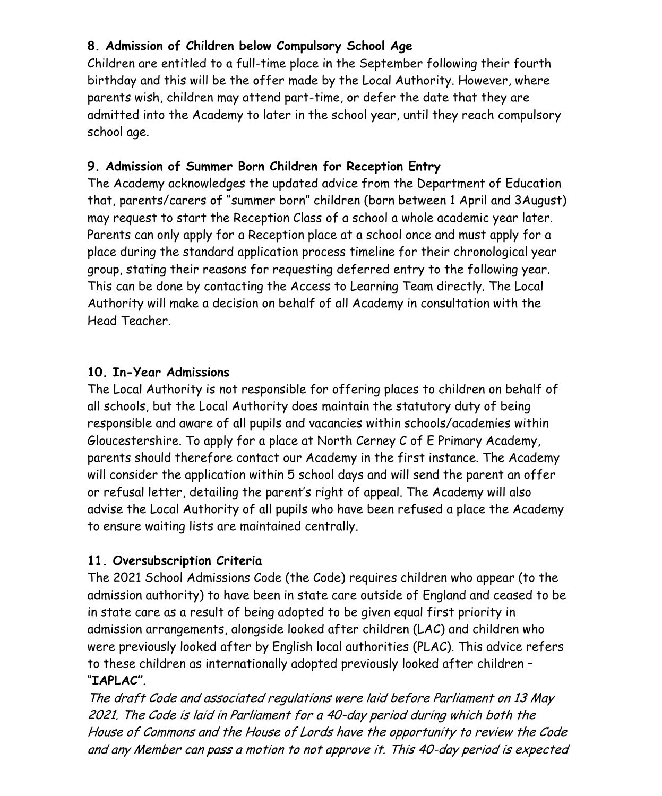# **8. Admission of Children below Compulsory School Age**

Children are entitled to a full-time place in the September following their fourth birthday and this will be the offer made by the Local Authority. However, where parents wish, children may attend part-time, or defer the date that they are admitted into the Academy to later in the school year, until they reach compulsory school age.

# **9. Admission of Summer Born Children for Reception Entry**

The Academy acknowledges the updated advice from the Department of Education that, parents/carers of "summer born" children (born between 1 April and 3August) may request to start the Reception Class of a school a whole academic year later. Parents can only apply for a Reception place at a school once and must apply for a place during the standard application process timeline for their chronological year group, stating their reasons for requesting deferred entry to the following year. This can be done by contacting the Access to Learning Team directly. The Local Authority will make a decision on behalf of all Academy in consultation with the Head Teacher.

## **10. In-Year Admissions**

The Local Authority is not responsible for offering places to children on behalf of all schools, but the Local Authority does maintain the statutory duty of being responsible and aware of all pupils and vacancies within schools/academies within Gloucestershire. To apply for a place at North Cerney C of E Primary Academy, parents should therefore contact our Academy in the first instance. The Academy will consider the application within 5 school days and will send the parent an offer or refusal letter, detailing the parent's right of appeal. The Academy will also advise the Local Authority of all pupils who have been refused a place the Academy to ensure waiting lists are maintained centrally.

# **11. Oversubscription Criteria**

The 2021 School Admissions Code (the Code) requires children who appear (to the admission authority) to have been in state care outside of England and ceased to be in state care as a result of being adopted to be given equal first priority in admission arrangements, alongside looked after children (LAC) and children who were previously looked after by English local authorities (PLAC). This advice refers to these children as internationally adopted previously looked after children – "**IAPLAC"**.

The draft Code and associated regulations were laid before Parliament on 13 May 2021. The Code is laid in Parliament for a 40-day period during which both the House of Commons and the House of Lords have the opportunity to review the Code and any Member can pass a motion to not approve it. This 40-day period is expected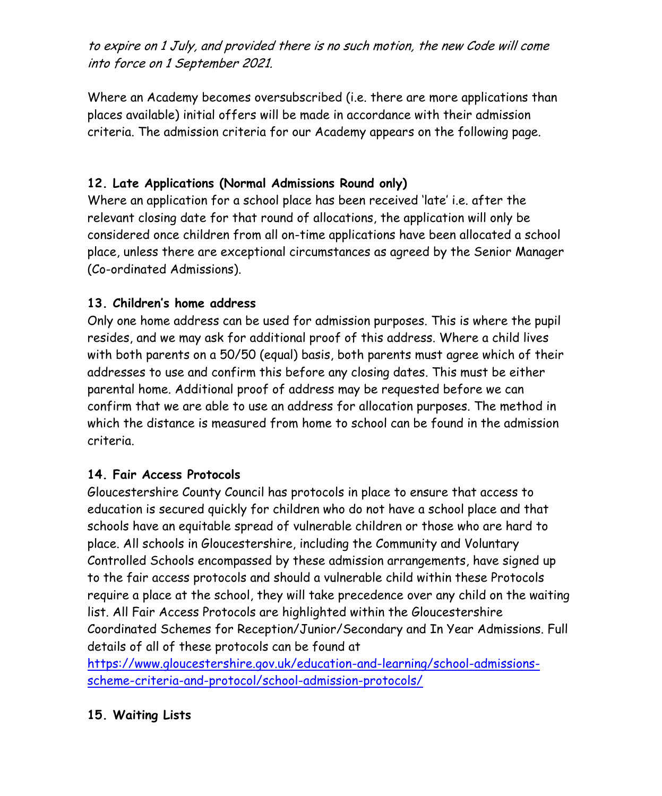to expire on 1 July, and provided there is no such motion, the new Code will come into force on 1 September 2021.

Where an Academy becomes oversubscribed (i.e. there are more applications than places available) initial offers will be made in accordance with their admission criteria. The admission criteria for our Academy appears on the following page.

## **12. Late Applications (Normal Admissions Round only)**

Where an application for a school place has been received 'late' i.e. after the relevant closing date for that round of allocations, the application will only be considered once children from all on-time applications have been allocated a school place, unless there are exceptional circumstances as agreed by the Senior Manager (Co-ordinated Admissions).

#### **13. Children's home address**

Only one home address can be used for admission purposes. This is where the pupil resides, and we may ask for additional proof of this address. Where a child lives with both parents on a 50/50 (equal) basis, both parents must agree which of their addresses to use and confirm this before any closing dates. This must be either parental home. Additional proof of address may be requested before we can confirm that we are able to use an address for allocation purposes. The method in which the distance is measured from home to school can be found in the admission criteria.

## **14. Fair Access Protocols**

Gloucestershire County Council has protocols in place to ensure that access to education is secured quickly for children who do not have a school place and that schools have an equitable spread of vulnerable children or those who are hard to place. All schools in Gloucestershire, including the Community and Voluntary Controlled Schools encompassed by these admission arrangements, have signed up to the fair access protocols and should a vulnerable child within these Protocols require a place at the school, they will take precedence over any child on the waiting list. All Fair Access Protocols are highlighted within the Gloucestershire Coordinated Schemes for Reception/Junior/Secondary and In Year Admissions. Full details of all of these protocols can be found at

[https://www.gloucestershire.gov.uk/education-and-learning/school-admissions](https://www.gloucestershire.gov.uk/education-and-learning/school-admissions-scheme-criteria-and-protocol/school-admission-protocols/)[scheme-criteria-and-protocol/school-admission-protocols/](https://www.gloucestershire.gov.uk/education-and-learning/school-admissions-scheme-criteria-and-protocol/school-admission-protocols/)

## **15. Waiting Lists**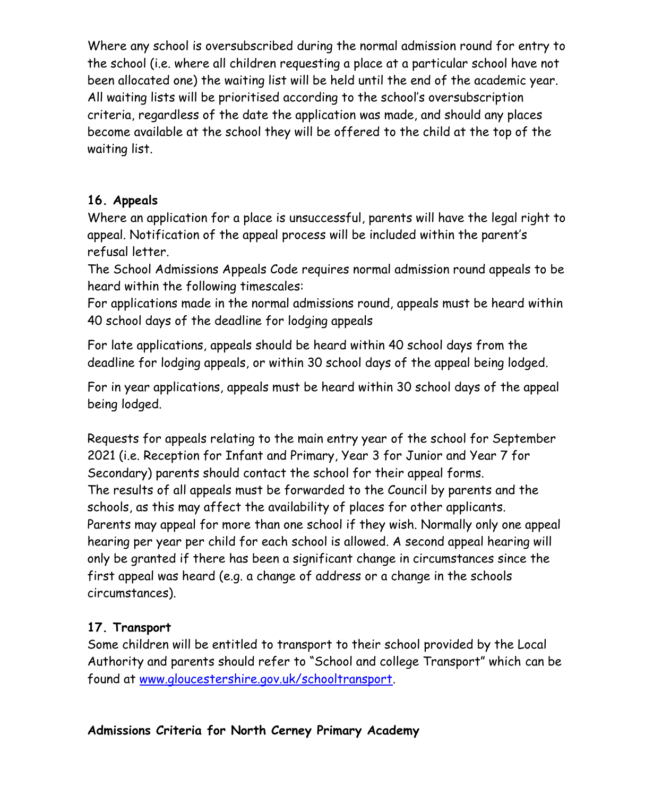Where any school is oversubscribed during the normal admission round for entry to the school (i.e. where all children requesting a place at a particular school have not been allocated one) the waiting list will be held until the end of the academic year. All waiting lists will be prioritised according to the school's oversubscription criteria, regardless of the date the application was made, and should any places become available at the school they will be offered to the child at the top of the waiting list.

## **16. Appeals**

Where an application for a place is unsuccessful, parents will have the legal right to appeal. Notification of the appeal process will be included within the parent's refusal letter.

The School Admissions Appeals Code requires normal admission round appeals to be heard within the following timescales:

For applications made in the normal admissions round, appeals must be heard within 40 school days of the deadline for lodging appeals

For late applications, appeals should be heard within 40 school days from the deadline for lodging appeals, or within 30 school days of the appeal being lodged.

For in year applications, appeals must be heard within 30 school days of the appeal being lodged.

Requests for appeals relating to the main entry year of the school for September 2021 (i.e. Reception for Infant and Primary, Year 3 for Junior and Year 7 for Secondary) parents should contact the school for their appeal forms. The results of all appeals must be forwarded to the Council by parents and the schools, as this may affect the availability of places for other applicants. Parents may appeal for more than one school if they wish. Normally only one appeal hearing per year per child for each school is allowed. A second appeal hearing will only be granted if there has been a significant change in circumstances since the first appeal was heard (e.g. a change of address or a change in the schools circumstances).

## **17. Transport**

Some children will be entitled to transport to their school provided by the Local Authority and parents should refer to "School and college Transport" which can be found at [www.gloucestershire.gov.uk/schooltransport.](http://www.gloucestershire.gov.uk/schooltransport)

## **Admissions Criteria for North Cerney Primary Academy**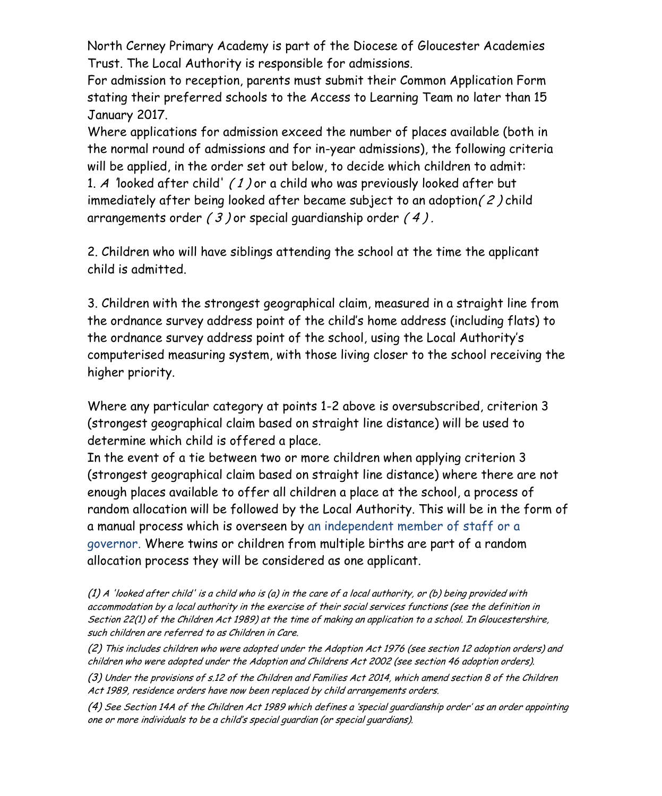North Cerney Primary Academy is part of the Diocese of Gloucester Academies Trust. The Local Authority is responsible for admissions.

For admission to reception, parents must submit their Common Application Form stating their preferred schools to the Access to Learning Team no later than 15 January 2017.

Where applications for admission exceed the number of places available (both in the normal round of admissions and for in-year admissions), the following criteria will be applied, in the order set out below, to decide which children to admit: 1. A 'looked after child' ( 1 ) or a child who was previously looked after but immediately after being looked after became subject to an adoption( 2 ) child arrangements order  $(3)$  or special quardianship order  $(4)$ .

2. Children who will have siblings attending the school at the time the applicant child is admitted.

3. Children with the strongest geographical claim, measured in a straight line from the ordnance survey address point of the child's home address (including flats) to the ordnance survey address point of the school, using the Local Authority's computerised measuring system, with those living closer to the school receiving the higher priority.

Where any particular category at points 1-2 above is oversubscribed, criterion 3 (strongest geographical claim based on straight line distance) will be used to determine which child is offered a place.

In the event of a tie between two or more children when applying criterion 3 (strongest geographical claim based on straight line distance) where there are not enough places available to offer all children a place at the school, a process of random allocation will be followed by the Local Authority. This will be in the form of a manual process which is overseen by an independent member of staff or a governor. Where twins or children from multiple births are part of a random allocation process they will be considered as one applicant.

(1) A 'looked after child' is a child who is (a) in the care of a local authority, or (b) being provided with accommodation by a local authority in the exercise of their social services functions (see the definition in Section 22(1) of the Children Act 1989) at the time of making an application to a school. In Gloucestershire, such children are referred to as Children in Care.

(2) This includes children who were adopted under the Adoption Act 1976 (see section 12 adoption orders) and children who were adopted under the Adoption and Childrens Act 2002 (see section 46 adoption orders).

(3) Under the provisions of s.12 of the Children and Families Act 2014, which amend section 8 of the Children Act 1989, residence orders have now been replaced by child arrangements orders.

(4) See Section 14A of the Children Act 1989 which defines a 'special guardianship order' as an order appointing one or more individuals to be a child's special guardian (or special guardians).